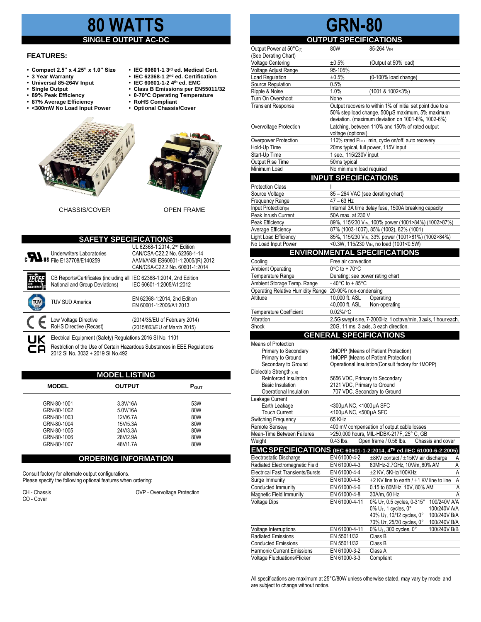# **80 WATTS**

# **SINGLE OUTPUT AC-DC**

#### **FEATURES:**

- **Compact 2.5" x 4.25" x 1.0" Size IEC 60601-1 3**
- 3 Year Warranty<br>• Universal 85-264V Input
- 
- 
- 
- **87% Average Efficiency • RoHS Compliant** • <300mW No Load Input Power
- IEC 60601-1 3<sup>rd</sup> ed. Medical Cert.
- IEC 62368-1 2<sup>nd</sup> ed. Certification
- **• Universal 85-264V Input • IEC 60601-1-2 4th ed. EMC**
- **Single Output • Class B Emissions per EN55011/32**
- **89% Peak Efficiency 0-70°C Operating Temperature**
	-





CHASSIS/COVER OPEN FRAME

| <b>SAFETY SPECIFICATIONS</b> |                                                                                                                                                                              |                                                                                                                                                 |  |  |  |  |
|------------------------------|------------------------------------------------------------------------------------------------------------------------------------------------------------------------------|-------------------------------------------------------------------------------------------------------------------------------------------------|--|--|--|--|
|                              | <b>Underwriters Laboratories</b><br><b>c</b> Us File E137708/E140259                                                                                                         | UL 62368-1:2014, 2 <sup>nd</sup> Edition<br>CAN/CSA-C22.2 No. 62368-1-14<br>AAMI/ANSI ES60601-1:2005/(R) 2012<br>CAN/CSA-C22.2 No. 60601-1:2014 |  |  |  |  |
|                              | CB Reports/Certificates (including all<br>National and Group Deviations)                                                                                                     | IEC 62368-1:2014, 2nd Edition<br>IEC 60601-1:2005/A1:2012                                                                                       |  |  |  |  |
|                              | <b>TUV SUD America</b>                                                                                                                                                       | EN 62368-1:2014, 2nd Edition<br>EN 60601-1:2006/A1:2013                                                                                         |  |  |  |  |
|                              | Low Voltage Directive<br>RoHS Directive (Recast)                                                                                                                             | (2014/35/EU of February 2014)<br>(2015/863/EU of March 2015)                                                                                    |  |  |  |  |
| UK<br>cΑ                     | Electrical Equipment (Safety) Regulations 2016 SI No. 1101<br>Restriction of the Use of Certain Hazardous Substances in EEE Regulations<br>2012 SI No. 3032 + 2019 SI No.492 |                                                                                                                                                 |  |  |  |  |

| <b>MODEL LISTING</b> |              |               |                  |  |  |  |
|----------------------|--------------|---------------|------------------|--|--|--|
|                      | <b>MODEL</b> | <b>OUTPUT</b> | $P_{\text{OUT}}$ |  |  |  |
|                      | GRN-80-1001  | 3.3V/16A      | 53W              |  |  |  |
|                      | GRN-80-1002  | 5.0V/16A      | 80W              |  |  |  |
|                      | GRN-80-1003  | 12V/6.7A      | 80W              |  |  |  |
|                      | GRN-80-1004  | 15V/5.3A      | 80W              |  |  |  |
|                      | GRN-80-1005  | 24V/3.3A      | 80W              |  |  |  |
|                      | GRN-80-1006  | 28V/2.9A      | 80W              |  |  |  |
|                      | GRN-80-1007  | 48V/1.7A      | 80W              |  |  |  |
|                      |              |               |                  |  |  |  |

### **ORDERING INFORMATION**

Consult factory for alternate output configurations. Please specify the following optional features when ordering:

CO - Cover

CH - Chassis OVP - Overvoltage Protection

# **GRN-80**<br>COUTPUT SPECIFICAT

#### **SPECIFICATIONS**

| Output Power at $50^{\circ}C_{(1)}$<br>(See Derating Chart)         | 80W                                                                                                   | 85-264 VIN                                                                  |  |
|---------------------------------------------------------------------|-------------------------------------------------------------------------------------------------------|-----------------------------------------------------------------------------|--|
| <b>Voltage Centering</b>                                            | ±0.5%                                                                                                 | (Output at 50% load)                                                        |  |
| Voltage Adjust Range                                                | 95-105%                                                                                               |                                                                             |  |
| Load Regulation                                                     | ±0.5%                                                                                                 | (0-100% load change)                                                        |  |
| Source Regulation                                                   | 0.5%                                                                                                  |                                                                             |  |
| Ripple & Noise                                                      | 1.0%                                                                                                  | (1001 & 1002<3%)                                                            |  |
| Turn On Overshoot                                                   | None                                                                                                  |                                                                             |  |
| <b>Transient Response</b>                                           |                                                                                                       | Output recovers to within 1% of initial set point due to a                  |  |
|                                                                     | 50% step load change, 500µS maximum, 5% maximum                                                       |                                                                             |  |
|                                                                     | deviation. (maximum deviation on 1001-8%, 1002-6%)<br>Latching, between 110% and 150% of rated output |                                                                             |  |
| Overvoltage Protection                                              | voltage (optional)                                                                                    |                                                                             |  |
| Overpower Protection                                                | 110% rated Pour min, cycle on/off, auto recovery                                                      |                                                                             |  |
| Hold-Up Time                                                        | 20ms typical, full power, 115V input                                                                  |                                                                             |  |
| Start-Up Time                                                       | 1 sec., 115/230V input                                                                                |                                                                             |  |
| Output Rise Time                                                    | 50ms typical                                                                                          |                                                                             |  |
| Minimum Load                                                        | No minimum load required                                                                              |                                                                             |  |
|                                                                     | <b>INPUT SPECIFICATIONS</b>                                                                           |                                                                             |  |
| <b>Protection Class</b>                                             | I                                                                                                     |                                                                             |  |
| Source Voltage                                                      | 85 - 264 VAC (see derating chart)                                                                     |                                                                             |  |
| Frequency Range                                                     | 47 - 63 Hz                                                                                            |                                                                             |  |
| Input Protection(5)                                                 | Internal 3A time delay fuse, 1500A breaking capacity                                                  |                                                                             |  |
| Peak Inrush Current                                                 | 50A max. at 230 V                                                                                     |                                                                             |  |
| Peak Efficiency                                                     |                                                                                                       | 89%, 115/230 Vin, 100% power (1001>84%) (1002>87%)                          |  |
| Average Efficiency                                                  |                                                                                                       | 87% (1003-1007), 85% (1002), 82% (1001)                                     |  |
| Light Load Efficiency                                               |                                                                                                       | 85%, 115/230 VIN, 33% power (1001>81%) (1002>84%)                           |  |
| No Load Input Power                                                 |                                                                                                       | <0.3W, 115/230 VIN, no load (1001<0.5W)                                     |  |
|                                                                     |                                                                                                       | <b>ENVIRONMENTAL SPECIFICATIONS</b>                                         |  |
| Cooling                                                             | Free air convection                                                                                   |                                                                             |  |
| <b>Ambient Operating</b>                                            | $0^{\circ}$ C to + 70 $^{\circ}$ C                                                                    |                                                                             |  |
| Temperature Range                                                   | Derating: see power rating chart<br>$-40^{\circ}$ C to + 85 $^{\circ}$ C                              |                                                                             |  |
| Ambient Storage Temp. Range                                         |                                                                                                       |                                                                             |  |
| Operating Relative Humidity Range 20-90% non-condensing<br>Altitude | 10,000 ft. ASL                                                                                        | Operating                                                                   |  |
|                                                                     | 40,000 ft. ASL                                                                                        | Non-operating                                                               |  |
| <b>Temperature Coefficient</b>                                      | $0.02\%$ /°C                                                                                          |                                                                             |  |
| Vibration                                                           |                                                                                                       | 2.5G swept sine, 7-2000Hz, 1 octave/min, 3 axis, 1 hour each.               |  |
| Shock                                                               | 20G, 11 ms, 3 axis, 3 each direction.                                                                 |                                                                             |  |
|                                                                     | <b>GENERAL SPECIFICATIONS</b>                                                                         |                                                                             |  |
| Means of Protection                                                 |                                                                                                       |                                                                             |  |
| Primary to Secondary                                                |                                                                                                       | 2MOPP (Means of Patient Protection)                                         |  |
| Primary to Ground                                                   |                                                                                                       | 1MOPP (Means of Patient Protection)                                         |  |
| Secondary to Ground                                                 |                                                                                                       | Operational Insulation(Consult factory for 1MOPP)                           |  |
| Dielectric Strength(7, 8)                                           |                                                                                                       |                                                                             |  |
| Reinforced Insulation<br><b>Basic Insulation</b>                    | 5656 VDC, Primary to Secondary<br>2121 VDC, Primary to Ground                                         |                                                                             |  |
| Operational Insulation                                              | 707 VDC, Secondary to Ground                                                                          |                                                                             |  |
| Leakage Current                                                     |                                                                                                       |                                                                             |  |
| Earth Leakage                                                       | <300µA NC, <1000µA SFC                                                                                |                                                                             |  |
| <b>Touch Current</b>                                                | <100µA NC, <500µA SFC                                                                                 |                                                                             |  |
| Switching Frequency                                                 | 65 KHz                                                                                                |                                                                             |  |
| Remote Sense(9)                                                     |                                                                                                       | 400 mV compensation of output cable losses                                  |  |
| Mean-Time Between Failures                                          |                                                                                                       | >250,000 hours, MIL-HDBK-217F, 25° C, GB                                    |  |
| Weight                                                              | 0.43 lbs.                                                                                             | Open frame / 0.56 lbs.<br>Chassis and cover                                 |  |
|                                                                     |                                                                                                       | EMC SPECIFICATIONS (IEC 60601-1-2:2014, 4TH ed./IEC 61000-6-2:2005)         |  |
| Electrostatic Discharge                                             | EN 61000-4-2                                                                                          | ±8KV contact / ±15KV air discharge<br>Α                                     |  |
| Radiated Electromagnetic Field                                      | EN 61000-4-3                                                                                          | Ā<br>80MHz-2.7GHz, 10V/m, 80% AM                                            |  |
| <b>Electrical Fast Transients/Bursts</b>                            | EN 61000-4-4                                                                                          | A<br>$\pm$ 2 KV, 5KHz/100KHz                                                |  |
| Surge Immunity                                                      | EN 61000-4-5                                                                                          | A<br>±2 KV line to earth / ±1 KV line to line<br>0.15 to 80MHz, 10V, 80% AM |  |
| Conducted Immunity                                                  | EN 61000-4-6<br>EN 61000-4-8                                                                          | $\overline{A}$<br>30A/m, 60 Hz.<br>Α                                        |  |
| <b>Magnetic Field Immunity</b><br><b>Voltage Dips</b>               | EN 61000-4-11                                                                                         | 0% U <sub>T</sub> , 0.5 cycles, 0-315°<br>100/240V A/A                      |  |
|                                                                     |                                                                                                       | 0% U <sub>T</sub> , 1 cycles, 0°<br>100/240V A/A                            |  |
|                                                                     |                                                                                                       | 40% U <sub>T</sub> , 10/12 cycles, 0°<br>100/240V B/A                       |  |
|                                                                     |                                                                                                       | 70% U <sub>T</sub> , 25/30 cycles, 0°<br>100/240V B/A                       |  |
| Voltage Interruptions                                               | EN 61000-4-11                                                                                         | 0% U <sub>T</sub> , 300 cycles, 0°<br>100/240V B/B                          |  |
| <b>Radiated Emissions</b>                                           | EN 55011/32                                                                                           | Class B                                                                     |  |
| <b>Conducted Emissions</b>                                          | EN 55011/32                                                                                           | Class B                                                                     |  |
| Harmonic Current Emissions                                          | EN 61000-3-2                                                                                          | Class A                                                                     |  |
| Voltage Fluctuations/Flicker                                        | EN 61000-3-3                                                                                          | Compliant                                                                   |  |

All specifications are maximum at 25°C/80W unless otherwise stated, may vary by model and are subject to change without notice.